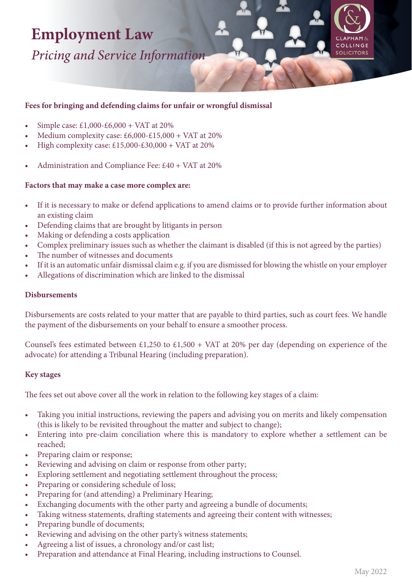# **Employment Law**

*Pricing and Service Information*

# **Fees for bringing and defending claims for unfair or wrongful dismissal**

- Simple case: £1,000-£6,000 + VAT at 20%
- Medium complexity case: £6,000-£15,000 + VAT at 20%
- High complexity case:  $£15,000-E30,000 + VAT$  at 20%
- Administration and Compliance Fee: £40 + VAT at 20%

## **Factors that may make a case more complex are:**

- If it is necessary to make or defend applications to amend claims or to provide further information about an existing claim
- Defending claims that are brought by litigants in person
- Making or defending a costs application
- Complex preliminary issues such as whether the claimant is disabled (if this is not agreed by the parties)
- The number of witnesses and documents
- If it is an automatic unfair dismissal claim e.g. if you are dismissed for blowing the whistle on your employer
- Allegations of discrimination which are linked to the dismissal

## **Disbursements**

Disbursements are costs related to your matter that are payable to third parties, such as court fees. We handle the payment of the disbursements on your behalf to ensure a smoother process.

Counsel's fees estimated between £1,250 to £1,500 + VAT at 20% per day (depending on experience of the advocate) for attending a Tribunal Hearing (including preparation).

## **Key stages**

The fees set out above cover all the work in relation to the following key stages of a claim:

- Taking you initial instructions, reviewing the papers and advising you on merits and likely compensation (this is likely to be revisited throughout the matter and subject to change);
- Entering into pre-claim conciliation where this is mandatory to explore whether a settlement can be reached;
- Preparing claim or response;
- Reviewing and advising on claim or response from other party;
- Exploring settlement and negotiating settlement throughout the process;
- Preparing or considering schedule of loss;
- Preparing for (and attending) a Preliminary Hearing;
- Exchanging documents with the other party and agreeing a bundle of documents;
- Taking witness statements, drafting statements and agreeing their content with witnesses;
- Preparing bundle of documents;
- Reviewing and advising on the other party's witness statements;
- Agreeing a list of issues, a chronology and/or cast list;
- Preparation and attendance at Final Hearing, including instructions to Counsel.

COLLINGE **SOLICITORS**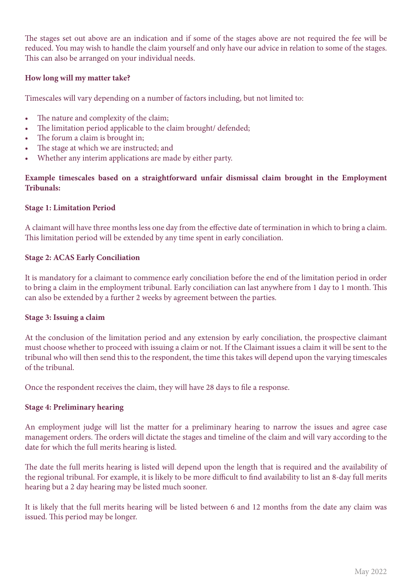The stages set out above are an indication and if some of the stages above are not required the fee will be reduced. You may wish to handle the claim yourself and only have our advice in relation to some of the stages. This can also be arranged on your individual needs.

# **How long will my matter take?**

Timescales will vary depending on a number of factors including, but not limited to:

- The nature and complexity of the claim;
- The limitation period applicable to the claim brought/ defended;
- The forum a claim is brought in;
- The stage at which we are instructed; and
- Whether any interim applications are made by either party.

# **Example timescales based on a straightforward unfair dismissal claim brought in the Employment Tribunals:**

## **Stage 1: Limitation Period**

A claimant will have three months less one day from the effective date of termination in which to bring a claim. This limitation period will be extended by any time spent in early conciliation.

## **Stage 2: ACAS Early Conciliation**

It is mandatory for a claimant to commence early conciliation before the end of the limitation period in order to bring a claim in the employment tribunal. Early conciliation can last anywhere from 1 day to 1 month. This can also be extended by a further 2 weeks by agreement between the parties.

## **Stage 3: Issuing a claim**

At the conclusion of the limitation period and any extension by early conciliation, the prospective claimant must choose whether to proceed with issuing a claim or not. If the Claimant issues a claim it will be sent to the tribunal who will then send this to the respondent, the time this takes will depend upon the varying timescales of the tribunal.

Once the respondent receives the claim, they will have 28 days to file a response.

## **Stage 4: Preliminary hearing**

An employment judge will list the matter for a preliminary hearing to narrow the issues and agree case management orders. The orders will dictate the stages and timeline of the claim and will vary according to the date for which the full merits hearing is listed.

The date the full merits hearing is listed will depend upon the length that is required and the availability of the regional tribunal. For example, it is likely to be more difficult to find availability to list an 8-day full merits hearing but a 2 day hearing may be listed much sooner.

It is likely that the full merits hearing will be listed between 6 and 12 months from the date any claim was issued. This period may be longer.